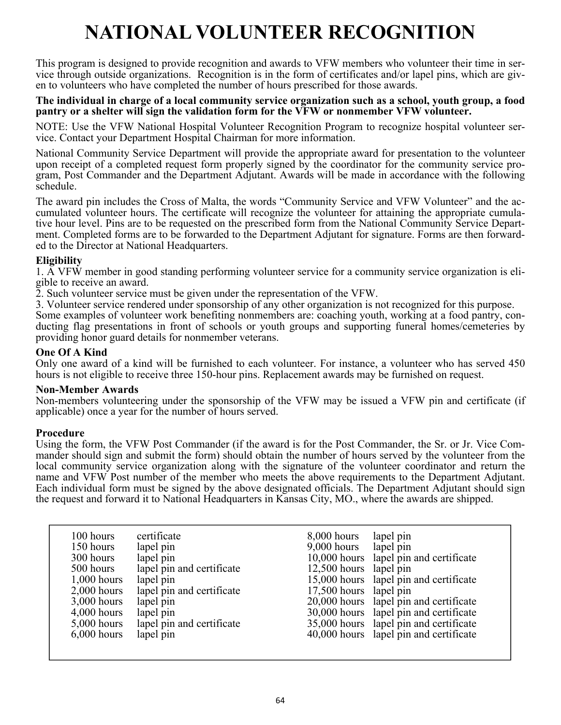# **NATIONAL VOLUNTEER RECOGNITION**

This program is designed to provide recognition and awards to VFW members who volunteer their time in service through outside organizations. Recognition is in the form of certificates and/or lapel pins, which are given to volunteers who have completed the number of hours prescribed for those awards.

#### **The individual in charge of a local community service organization such as a school, youth group, a food pantry or a shelter will sign the validation form for the VFW or nonmember VFW volunteer.**

NOTE: Use the VFW National Hospital Volunteer Recognition Program to recognize hospital volunteer service. Contact your Department Hospital Chairman for more information.

National Community Service Department will provide the appropriate award for presentation to the volunteer upon receipt of a completed request form properly signed by the coordinator for the community service program, Post Commander and the Department Adjutant. Awards will be made in accordance with the following schedule.

The award pin includes the Cross of Malta, the words "Community Service and VFW Volunteer" and the accumulated volunteer hours. The certificate will recognize the volunteer for attaining the appropriate cumulative hour level. Pins are to be requested on the prescribed form from the National Community Service Department. Completed forms are to be forwarded to the Department Adjutant for signature. Forms are then forwarded to the Director at National Headquarters.

#### **Eligibility**

1. A VFW member in good standing performing volunteer service for a community service organization is eligible to receive an award.

2. Such volunteer service must be given under the representation of the VFW.

3. Volunteer service rendered under sponsorship of any other organization is not recognized for this purpose.

Some examples of volunteer work benefiting nonmembers are: coaching youth, working at a food pantry, conducting flag presentations in front of schools or youth groups and supporting funeral homes/cemeteries by providing honor guard details for nonmember veterans.

#### **One Of A Kind**

Only one award of a kind will be furnished to each volunteer. For instance, a volunteer who has served 450 hours is not eligible to receive three 150-hour pins. Replacement awards may be furnished on request.

#### **Non-Member Awards**

Non-members volunteering under the sponsorship of the VFW may be issued a VFW pin and certificate (if applicable) once a year for the number of hours served.

#### **Procedure**

Using the form, the VFW Post Commander (if the award is for the Post Commander, the Sr. or Jr. Vice Commander should sign and submit the form) should obtain the number of hours served by the volunteer from the local community service organization along with the signature of the volunteer coordinator and return the name and VFW Post number of the member who meets the above requirements to the Department Adjutant. Each individual form must be signed by the above designated officials. The Department Adjutant should sign the request and forward it to National Headquarters in Kansas City, MO., where the awards are shipped.